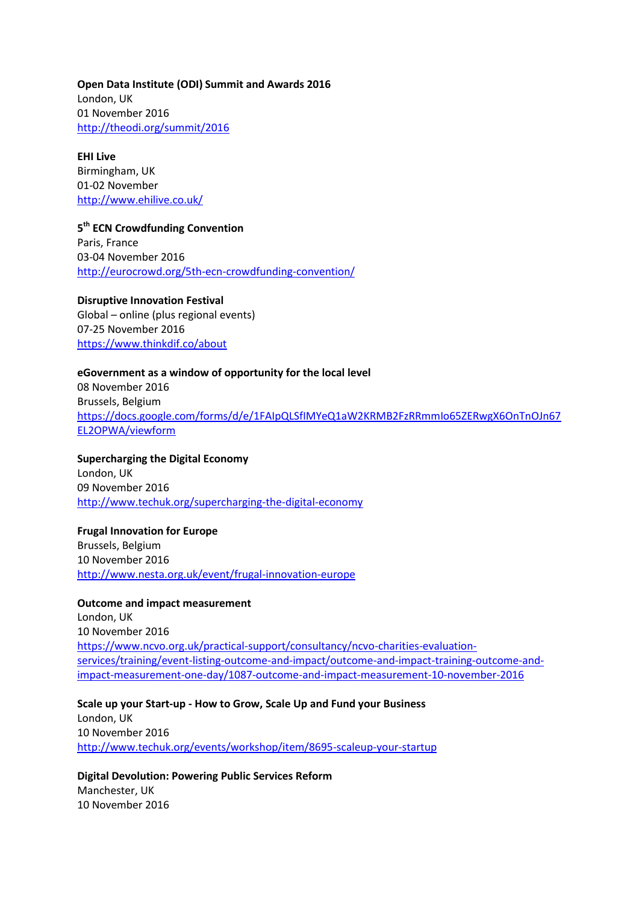**Open Data Institute (ODI) Summit and Awards 2016** London, UK 01 November 2016 <http://theodi.org/summit/2016>

**EHI Live** Birmingham, UK 01-02 November <http://www.ehilive.co.uk/>

**5 th ECN Crowdfunding Convention** Paris, France 03-04 November 2016 <http://eurocrowd.org/5th-ecn-crowdfunding-convention/>

**Disruptive Innovation Festival** Global – online (plus regional events) 07-25 November 2016 <https://www.thinkdif.co/about>

#### **eGovernment as a window of opportunity for the local level**

08 November 2016 Brussels, Belgium [https://docs.google.com/forms/d/e/1FAIpQLSfIMYeQ1aW2KRMB2FzRRmmIo65ZERwgX6OnTnOJn67](https://docs.google.com/forms/d/e/1FAIpQLSfIMYeQ1aW2KRMB2FzRRmmIo65ZERwgX6OnTnOJn67EL2OPWA/viewform) [EL2OPWA/viewform](https://docs.google.com/forms/d/e/1FAIpQLSfIMYeQ1aW2KRMB2FzRRmmIo65ZERwgX6OnTnOJn67EL2OPWA/viewform)

**Supercharging the Digital Economy** London, UK 09 November 2016 <http://www.techuk.org/supercharging-the-digital-economy>

**Frugal Innovation for Europe** Brussels, Belgium 10 November 2016 <http://www.nesta.org.uk/event/frugal-innovation-europe>

## **Outcome and impact measurement**

London, UK 10 November 2016 [https://www.ncvo.org.uk/practical-support/consultancy/ncvo-charities-evaluation](https://www.ncvo.org.uk/practical-support/consultancy/ncvo-charities-evaluation-services/training/event-listing-outcome-and-impact/outcome-and-impact-training-outcome-and-impact-measurement-one-day/1087-outcome-and-impact-measurement-10-november-2016)[services/training/event-listing-outcome-and-impact/outcome-and-impact-training-outcome-and](https://www.ncvo.org.uk/practical-support/consultancy/ncvo-charities-evaluation-services/training/event-listing-outcome-and-impact/outcome-and-impact-training-outcome-and-impact-measurement-one-day/1087-outcome-and-impact-measurement-10-november-2016)[impact-measurement-one-day/1087-outcome-and-impact-measurement-10-november-2016](https://www.ncvo.org.uk/practical-support/consultancy/ncvo-charities-evaluation-services/training/event-listing-outcome-and-impact/outcome-and-impact-training-outcome-and-impact-measurement-one-day/1087-outcome-and-impact-measurement-10-november-2016)

**Scale up your Start-up - How to Grow, Scale Up and Fund your Business** London, UK 10 November 2016 <http://www.techuk.org/events/workshop/item/8695-scaleup-your-startup>

**Digital Devolution: Powering Public Services Reform** Manchester, UK 10 November 2016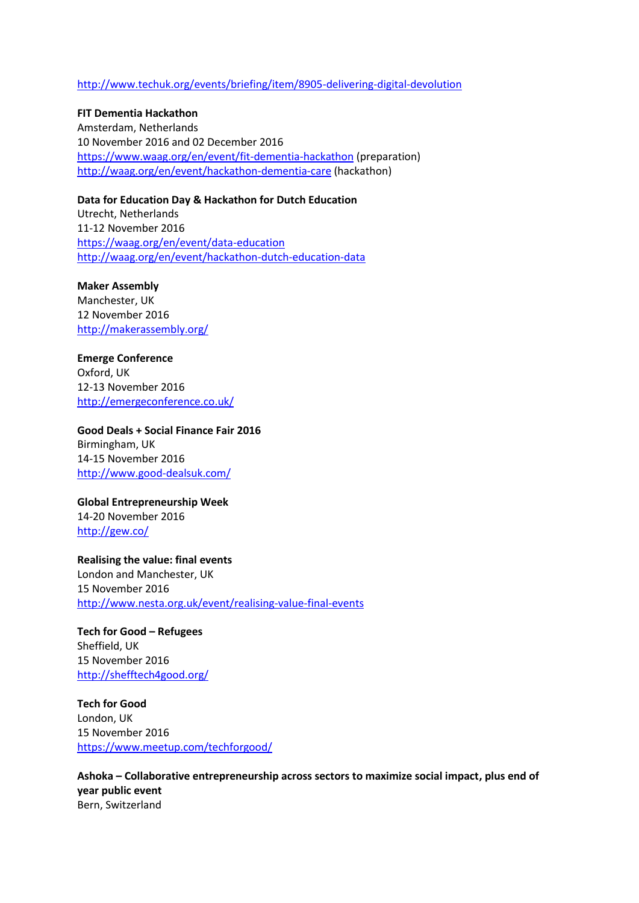#### <http://www.techuk.org/events/briefing/item/8905-delivering-digital-devolution>

**FIT Dementia Hackathon** Amsterdam, Netherlands 10 November 2016 and 02 December 2016 <https://www.waag.org/en/event/fit-dementia-hackathon> (preparation) <http://waag.org/en/event/hackathon-dementia-care> (hackathon)

**Data for Education Day & Hackathon for Dutch Education**

Utrecht, Netherlands 11-12 November 2016 <https://waag.org/en/event/data-education> <http://waag.org/en/event/hackathon-dutch-education-data>

**Maker Assembly**  Manchester, UK 12 November 2016 <http://makerassembly.org/>

**Emerge Conference** Oxford, UK 12-13 November 2016 <http://emergeconference.co.uk/>

**Good Deals + Social Finance Fair 2016**  Birmingham, UK 14-15 November 2016 <http://www.good-dealsuk.com/>

**Global Entrepreneurship Week** 14-20 November 2016 <http://gew.co/>

**Realising the value: final events** London and Manchester, UK 15 November 2016 <http://www.nesta.org.uk/event/realising-value-final-events>

**Tech for Good – Refugees** Sheffield, UK 15 November 2016 <http://shefftech4good.org/>

**Tech for Good**  London, UK 15 November 2016 <https://www.meetup.com/techforgood/>

**Ashoka – Collaborative entrepreneurship across sectors to maximize social impact, plus end of year public event** Bern, Switzerland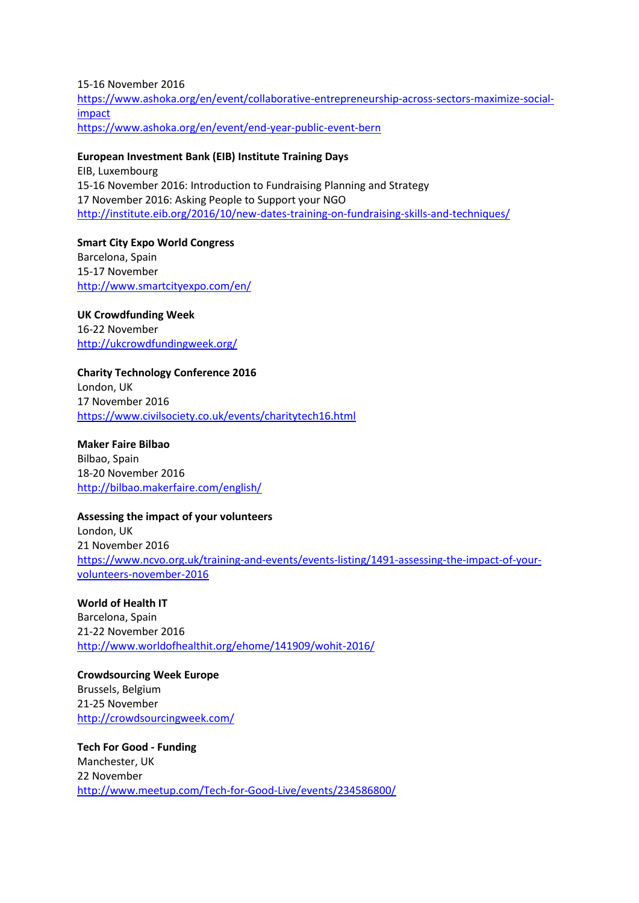15-16 November 2016 [https://www.ashoka.org/en/event/collaborative-entrepreneurship-across-sectors-maximize-social](https://www.ashoka.org/en/event/collaborative-entrepreneurship-across-sectors-maximize-social-impact)[impact](https://www.ashoka.org/en/event/collaborative-entrepreneurship-across-sectors-maximize-social-impact) <https://www.ashoka.org/en/event/end-year-public-event-bern>

#### **European Investment Bank (EIB) Institute Training Days**

EIB, Luxembourg 15-16 November 2016: Introduction to Fundraising Planning and Strategy 17 November 2016: Asking People to Support your NGO <http://institute.eib.org/2016/10/new-dates-training-on-fundraising-skills-and-techniques/>

**Smart City Expo World Congress** Barcelona, Spain 15-17 November <http://www.smartcityexpo.com/en/>

**UK Crowdfunding Week** 16-22 November <http://ukcrowdfundingweek.org/>

## **Charity Technology Conference 2016** London, UK 17 November 2016

<https://www.civilsociety.co.uk/events/charitytech16.html>

**Maker Faire Bilbao** Bilbao, Spain 18-20 November 2016 <http://bilbao.makerfaire.com/english/>

## **Assessing the impact of your volunteers**

London, UK 21 November 2016 [https://www.ncvo.org.uk/training-and-events/events-listing/1491-assessing-the-impact-of-your](https://www.ncvo.org.uk/training-and-events/events-listing/1491-assessing-the-impact-of-your-volunteers-november-2016)[volunteers-november-2016](https://www.ncvo.org.uk/training-and-events/events-listing/1491-assessing-the-impact-of-your-volunteers-november-2016)

**World of Health IT** Barcelona, Spain 21-22 November 2016 <http://www.worldofhealthit.org/ehome/141909/wohit-2016/>

**Crowdsourcing Week Europe** Brussels, Belgium 21-25 November <http://crowdsourcingweek.com/>

**Tech For Good - Funding** Manchester, UK 22 November <http://www.meetup.com/Tech-for-Good-Live/events/234586800/>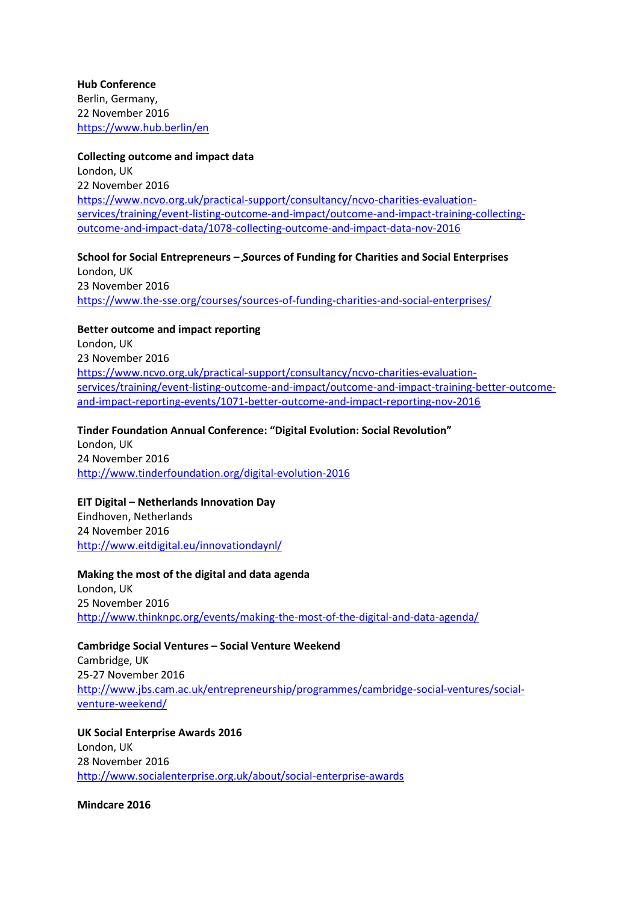**Hub Conference** Berlin, Germany, 22 November 2016 <https://www.hub.berlin/en>

#### **Collecting outcome and impact data**

London, UK 22 November 2016 [https://www.ncvo.org.uk/practical-support/consultancy/ncvo-charities-evaluation](https://www.ncvo.org.uk/practical-support/consultancy/ncvo-charities-evaluation-services/training/event-listing-outcome-and-impact/outcome-and-impact-training-collecting-outcome-and-impact-data/1078-collecting-outcome-and-impact-data-nov-2016)[services/training/event-listing-outcome-and-impact/outcome-and-impact-training-collecting](https://www.ncvo.org.uk/practical-support/consultancy/ncvo-charities-evaluation-services/training/event-listing-outcome-and-impact/outcome-and-impact-training-collecting-outcome-and-impact-data/1078-collecting-outcome-and-impact-data-nov-2016)[outcome-and-impact-data/1078-collecting-outcome-and-impact-data-nov-2016](https://www.ncvo.org.uk/practical-support/consultancy/ncvo-charities-evaluation-services/training/event-listing-outcome-and-impact/outcome-and-impact-training-collecting-outcome-and-impact-data/1078-collecting-outcome-and-impact-data-nov-2016)

### **School for Social Entrepreneurs – Sources of Funding for Charities and Social Enterprises** London, UK 23 November 2016 <https://www.the-sse.org/courses/sources-of-funding-charities-and-social-enterprises/>

**Better outcome and impact reporting**

London, UK 23 November 2016 [https://www.ncvo.org.uk/practical-support/consultancy/ncvo-charities-evaluation](https://www.ncvo.org.uk/practical-support/consultancy/ncvo-charities-evaluation-services/training/event-listing-outcome-and-impact/outcome-and-impact-training-better-outcome-and-impact-reporting-events/1071-better-outcome-and-impact-reporting-nov-2016)[services/training/event-listing-outcome-and-impact/outcome-and-impact-training-better-outcome](https://www.ncvo.org.uk/practical-support/consultancy/ncvo-charities-evaluation-services/training/event-listing-outcome-and-impact/outcome-and-impact-training-better-outcome-and-impact-reporting-events/1071-better-outcome-and-impact-reporting-nov-2016)[and-impact-reporting-events/1071-better-outcome-and-impact-reporting-nov-2016](https://www.ncvo.org.uk/practical-support/consultancy/ncvo-charities-evaluation-services/training/event-listing-outcome-and-impact/outcome-and-impact-training-better-outcome-and-impact-reporting-events/1071-better-outcome-and-impact-reporting-nov-2016)

**Tinder Foundation Annual Conference: "Digital Evolution: Social Revolution"** London, UK 24 November 2016 <http://www.tinderfoundation.org/digital-evolution-2016>

**EIT Digital – Netherlands Innovation Day** Eindhoven, Netherlands 24 November 2016 <http://www.eitdigital.eu/innovationdaynl/>

**Making the most of the digital and data agenda** London, UK 25 November 2016 <http://www.thinknpc.org/events/making-the-most-of-the-digital-and-data-agenda/>

**Cambridge Social Ventures – Social Venture Weekend** Cambridge, UK 25-27 November 2016 [http://www.jbs.cam.ac.uk/entrepreneurship/programmes/cambridge-social-ventures/social](http://www.jbs.cam.ac.uk/entrepreneurship/programmes/cambridge-social-ventures/social-venture-weekend/)[venture-weekend/](http://www.jbs.cam.ac.uk/entrepreneurship/programmes/cambridge-social-ventures/social-venture-weekend/)

**UK Social Enterprise Awards 2016** London, UK 28 November 2016 <http://www.socialenterprise.org.uk/about/social-enterprise-awards>

**Mindcare 2016**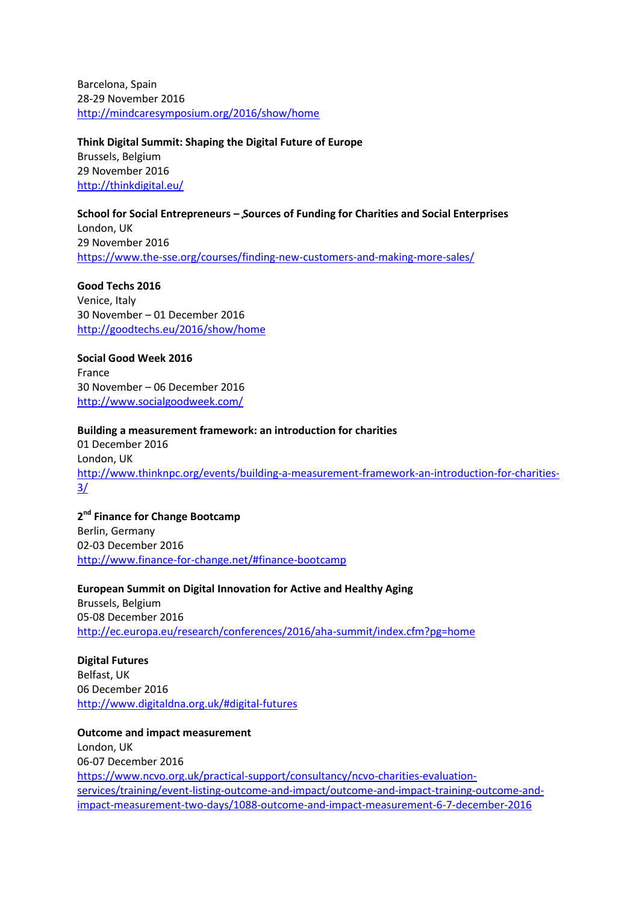Barcelona, Spain 28-29 November 2016 <http://mindcaresymposium.org/2016/show/home>

**Think Digital Summit: Shaping the Digital Future of Europe** Brussels, Belgium 29 November 2016 <http://thinkdigital.eu/>

**School for Social Entrepreneurs – Sources of Funding for Charities and Social Enterprises** London, UK 29 November 2016 <https://www.the-sse.org/courses/finding-new-customers-and-making-more-sales/>

**Good Techs 2016** Venice, Italy 30 November – 01 December 2016 <http://goodtechs.eu/2016/show/home>

**Social Good Week 2016** France 30 November – 06 December 2016 <http://www.socialgoodweek.com/>

**Building a measurement framework: an introduction for charities** 01 December 2016 London, UK [http://www.thinknpc.org/events/building-a-measurement-framework-an-introduction-for-charities-](http://www.thinknpc.org/events/building-a-measurement-framework-an-introduction-for-charities-3/)[3/](http://www.thinknpc.org/events/building-a-measurement-framework-an-introduction-for-charities-3/)

**2 nd Finance for Change Bootcamp** Berlin, Germany 02-03 December 2016 <http://www.finance-for-change.net/#finance-bootcamp>

**European Summit on Digital Innovation for Active and Healthy Aging** Brussels, Belgium 05-08 December 2016 <http://ec.europa.eu/research/conferences/2016/aha-summit/index.cfm?pg=home>

**Digital Futures** Belfast, UK 06 December 2016 <http://www.digitaldna.org.uk/#digital-futures>

**Outcome and impact measurement** London, UK 06-07 December 2016 [https://www.ncvo.org.uk/practical-support/consultancy/ncvo-charities-evaluation](https://www.ncvo.org.uk/practical-support/consultancy/ncvo-charities-evaluation-services/training/event-listing-outcome-and-impact/outcome-and-impact-training-outcome-and-impact-measurement-two-days/1088-outcome-and-impact-measurement-6-7-december-2016)[services/training/event-listing-outcome-and-impact/outcome-and-impact-training-outcome-and](https://www.ncvo.org.uk/practical-support/consultancy/ncvo-charities-evaluation-services/training/event-listing-outcome-and-impact/outcome-and-impact-training-outcome-and-impact-measurement-two-days/1088-outcome-and-impact-measurement-6-7-december-2016)[impact-measurement-two-days/1088-outcome-and-impact-measurement-6-7-december-2016](https://www.ncvo.org.uk/practical-support/consultancy/ncvo-charities-evaluation-services/training/event-listing-outcome-and-impact/outcome-and-impact-training-outcome-and-impact-measurement-two-days/1088-outcome-and-impact-measurement-6-7-december-2016)